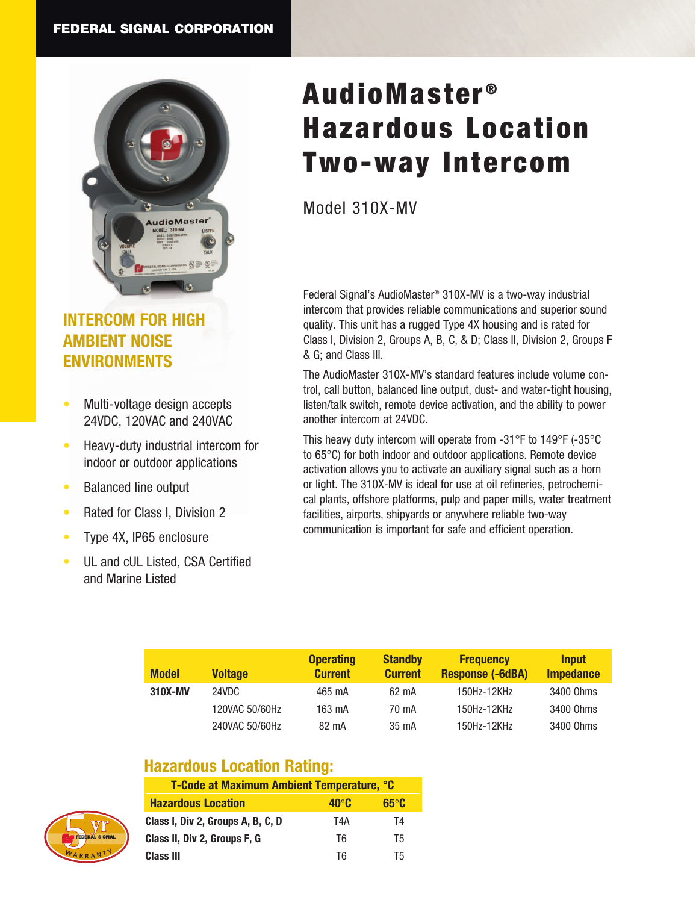

# **INTERCOM FOR HIGH AMBIENT NOISE ENVIRONMENTS**

- Multi-voltage design accepts 24VDC, 120VAC and 240VAC
- Heavy-duty industrial intercom for indoor or outdoor applications
- Balanced line output
- Rated for Class I, Division 2
- Type 4X, IP65 enclosure
- UL and cUL Listed, CSA Certified and Marine Listed

# AudioMaster<sup>®</sup> Hazardous Location Two-way Intercom

Model 310X-MV

Federal Signal's AudioMaster® 310X-MV is a two-way industrial intercom that provides reliable communications and superior sound quality. This unit has a rugged Type 4X housing and is rated for Class I, Division 2, Groups A, B, C, & D; Class II, Division 2, Groups F & G; and Class III.

The AudioMaster 310X-MV's standard features include volume control, call button, balanced line output, dust- and water-tight housing, listen/talk switch, remote device activation, and the ability to power another intercom at 24VDC.

This heavy duty intercom will operate from -31°F to 149°F (-35°C to 65°C) for both indoor and outdoor applications. Remote device activation allows you to activate an auxiliary signal such as a horn or light. The 310X-MV is ideal for use at oil refineries, petrochemical plants, offshore platforms, pulp and paper mills, water treatment facilities, airports, shipyards or anywhere reliable two-way communication is important for safe and efficient operation.

| <b>Model</b> | <b>Voltage</b> | <b>Operating</b><br><b>Current</b> | <b>Standby</b><br><b>Current</b> | <b>Frequency</b><br><b>Response (-6dBA)</b> | <b>Input</b><br><b>Impedance</b> |
|--------------|----------------|------------------------------------|----------------------------------|---------------------------------------------|----------------------------------|
| 310X-MV      | 24VDC          | 465 mA                             | 62 mA                            | 150Hz-12KHz                                 | 3400 Ohms                        |
|              | 120VAC 50/60Hz | 163 mA                             | 70 mA                            | 150Hz-12KHz                                 | 3400 Ohms                        |
|              | 240VAC 50/60Hz | 82 mA                              | 35 mA                            | 150Hz-12KHz                                 | 3400 Ohms                        |

# **Hazardous Location Rating:**

| <b>FEDERAL SIGNAL</b> |  |
|-----------------------|--|
| WARRANT               |  |

| T-Code at Maximum Ambient Temperature, °C |              |              |  |  |
|-------------------------------------------|--------------|--------------|--|--|
| <b>Hazardous Location</b>                 | $40^\circ$ C | $65^\circ C$ |  |  |
| Class I, Div 2, Groups A, B, C, D         | T4A          | T4           |  |  |
| Class II, Div 2, Groups F, G              | T6           | T5           |  |  |
| Class III                                 | Тĥ           | Т5           |  |  |